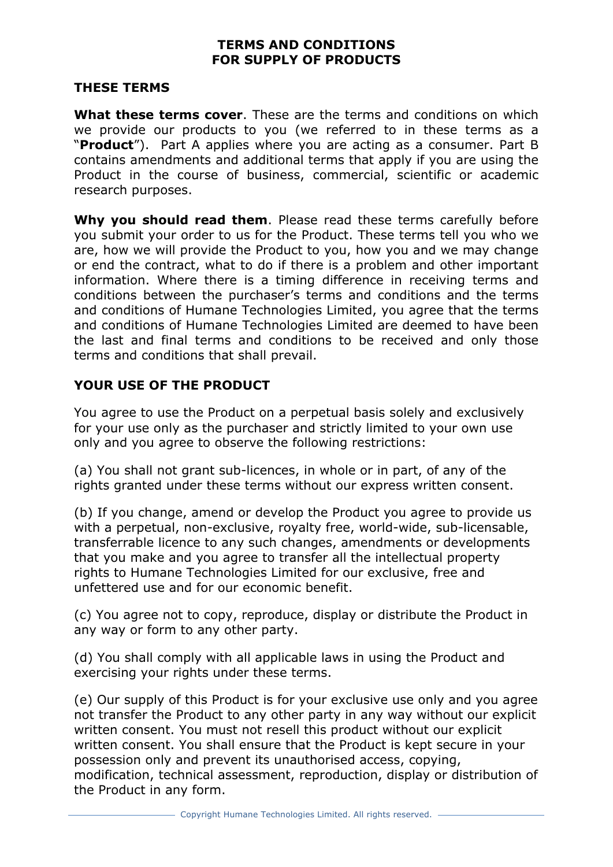#### **TERMS AND CONDITIONS FOR SUPPLY OF PRODUCTS**

#### **THESE TERMS**

**What these terms cover**. These are the terms and conditions on which we provide our products to you (we referred to in these terms as a "**Product**"). Part A applies where you are acting as a consumer. Part B contains amendments and additional terms that apply if you are using the Product in the course of business, commercial, scientific or academic research purposes.

**Why you should read them**. Please read these terms carefully before you submit your order to us for the Product. These terms tell you who we are, how we will provide the Product to you, how you and we may change or end the contract, what to do if there is a problem and other important information. Where there is a timing difference in receiving terms and conditions between the purchaser's terms and conditions and the terms and conditions of Humane Technologies Limited, you agree that the terms and conditions of Humane Technologies Limited are deemed to have been the last and final terms and conditions to be received and only those terms and conditions that shall prevail.

## **YOUR USE OF THE PRODUCT**

You agree to use the Product on a perpetual basis solely and exclusively for your use only as the purchaser and strictly limited to your own use only and you agree to observe the following restrictions:

(a) You shall not grant sub-licences, in whole or in part, of any of the rights granted under these terms without our express written consent.

(b) If you change, amend or develop the Product you agree to provide us with a perpetual, non-exclusive, royalty free, world-wide, sub-licensable, transferrable licence to any such changes, amendments or developments that you make and you agree to transfer all the intellectual property rights to Humane Technologies Limited for our exclusive, free and unfettered use and for our economic benefit.

(c) You agree not to copy, reproduce, display or distribute the Product in any way or form to any other party.

(d) You shall comply with all applicable laws in using the Product and exercising your rights under these terms.

(e) Our supply of this Product is for your exclusive use only and you agree not transfer the Product to any other party in any way without our explicit written consent. You must not resell this product without our explicit written consent. You shall ensure that the Product is kept secure in your possession only and prevent its unauthorised access, copying, modification, technical assessment, reproduction, display or distribution of the Product in any form.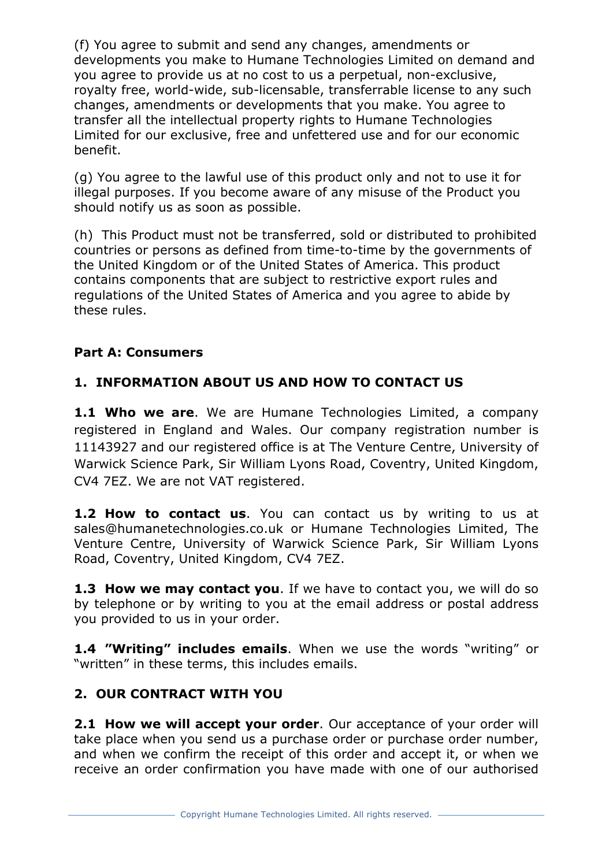(f) You agree to submit and send any changes, amendments or developments you make to Humane Technologies Limited on demand and you agree to provide us at no cost to us a perpetual, non-exclusive, royalty free, world-wide, sub-licensable, transferrable license to any such changes, amendments or developments that you make. You agree to transfer all the intellectual property rights to Humane Technologies Limited for our exclusive, free and unfettered use and for our economic benefit.

(g) You agree to the lawful use of this product only and not to use it for illegal purposes. If you become aware of any misuse of the Product you should notify us as soon as possible.

(h) This Product must not be transferred, sold or distributed to prohibited countries or persons as defined from time-to-time by the governments of the United Kingdom or of the United States of America. This product contains components that are subject to restrictive export rules and regulations of the United States of America and you agree to abide by these rules.

## **Part A: Consumers**

# **1. INFORMATION ABOUT US AND HOW TO CONTACT US**

**1.1 Who we are**. We are Humane Technologies Limited, a company registered in England and Wales. Our company registration number is 11143927 and our registered office is at The Venture Centre, University of Warwick Science Park, Sir William Lyons Road, Coventry, United Kingdom, CV4 7EZ. We are not VAT registered.

**1.2 How to contact us**. You can contact us by writing to us at sales@humanetechnologies.co.uk or Humane Technologies Limited, The Venture Centre, University of Warwick Science Park, Sir William Lyons Road, Coventry, United Kingdom, CV4 7EZ.

**1.3 How we may contact you**. If we have to contact you, we will do so by telephone or by writing to you at the email address or postal address you provided to us in your order.

**1.4 "Writing" includes emails**. When we use the words "writing" or "written" in these terms, this includes emails.

## **2. OUR CONTRACT WITH YOU**

**2.1 How we will accept your order**. Our acceptance of your order will take place when you send us a purchase order or purchase order number, and when we confirm the receipt of this order and accept it, or when we receive an order confirmation you have made with one of our authorised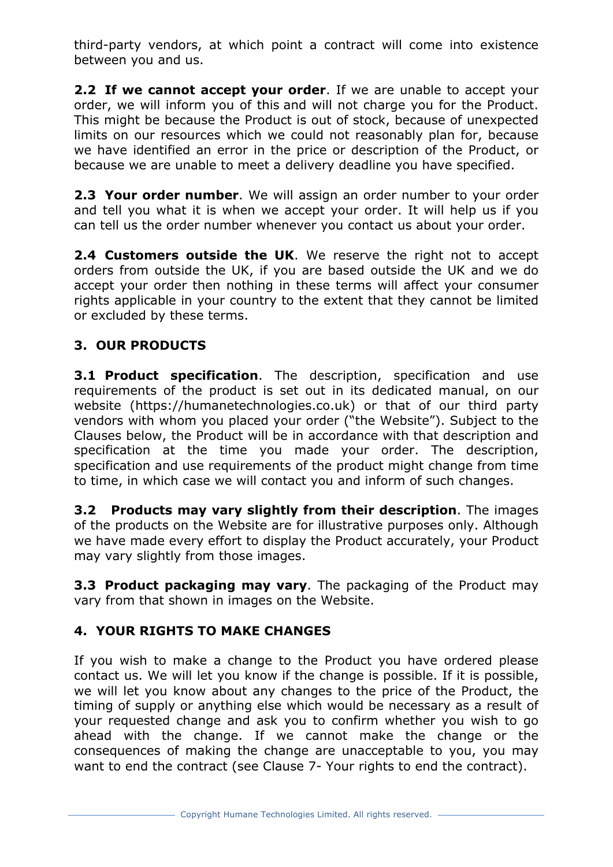third-party vendors, at which point a contract will come into existence between you and us.

**2.2 If we cannot accept your order**. If we are unable to accept your order, we will inform you of this and will not charge you for the Product. This might be because the Product is out of stock, because of unexpected limits on our resources which we could not reasonably plan for, because we have identified an error in the price or description of the Product, or because we are unable to meet a delivery deadline you have specified.

**2.3 Your order number**. We will assign an order number to your order and tell you what it is when we accept your order. It will help us if you can tell us the order number whenever you contact us about your order.

**2.4 Customers outside the UK**. We reserve the right not to accept orders from outside the UK, if you are based outside the UK and we do accept your order then nothing in these terms will affect your consumer rights applicable in your country to the extent that they cannot be limited or excluded by these terms.

## **3. OUR PRODUCTS**

**3.1 Product specification**. The description, specification and use requirements of the product is set out in its dedicated manual, on our website (https://humanetechnologies.co.uk) or that of our third party vendors with whom you placed your order ("the Website"). Subject to the Clauses below, the Product will be in accordance with that description and specification at the time you made your order. The description, specification and use requirements of the product might change from time to time, in which case we will contact you and inform of such changes.

**3.2 Products may vary slightly from their description**. The images of the products on the Website are for illustrative purposes only. Although we have made every effort to display the Product accurately, your Product may vary slightly from those images.

**3.3 Product packaging may vary**. The packaging of the Product may vary from that shown in images on the Website.

## **4. YOUR RIGHTS TO MAKE CHANGES**

If you wish to make a change to the Product you have ordered please contact us. We will let you know if the change is possible. If it is possible, we will let you know about any changes to the price of the Product, the timing of supply or anything else which would be necessary as a result of your requested change and ask you to confirm whether you wish to go ahead with the change. If we cannot make the change or the consequences of making the change are unacceptable to you, you may want to end the contract (see Clause 7- Your rights to end the contract).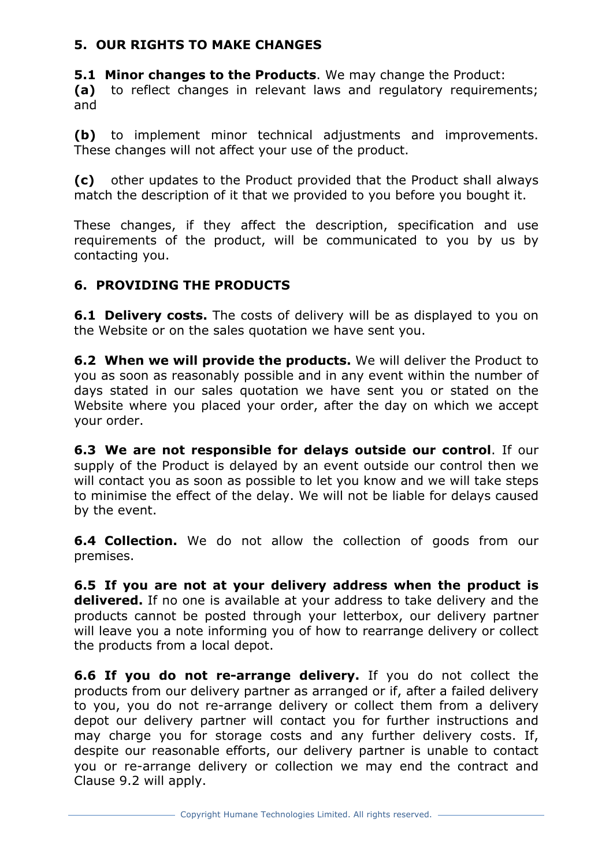## **5. OUR RIGHTS TO MAKE CHANGES**

**5.1 Minor changes to the Products**. We may change the Product: **(a)** to reflect changes in relevant laws and regulatory requirements; and

**(b)** to implement minor technical adjustments and improvements. These changes will not affect your use of the product.

**(c)** other updates to the Product provided that the Product shall always match the description of it that we provided to you before you bought it.

These changes, if they affect the description, specification and use requirements of the product, will be communicated to you by us by contacting you.

## **6. PROVIDING THE PRODUCTS**

**6.1 Delivery costs.** The costs of delivery will be as displayed to you on the Website or on the sales quotation we have sent you.

**6.2 When we will provide the products.** We will deliver the Product to you as soon as reasonably possible and in any event within the number of days stated in our sales quotation we have sent you or stated on the Website where you placed your order, after the day on which we accept your order.

**6.3 We are not responsible for delays outside our control**. If our supply of the Product is delayed by an event outside our control then we will contact you as soon as possible to let you know and we will take steps to minimise the effect of the delay. We will not be liable for delays caused by the event.

**6.4 Collection.** We do not allow the collection of goods from our premises.

**6.5 If you are not at your delivery address when the product is delivered.** If no one is available at your address to take delivery and the products cannot be posted through your letterbox, our delivery partner will leave you a note informing you of how to rearrange delivery or collect the products from a local depot.

**6.6 If you do not re-arrange delivery.** If you do not collect the products from our delivery partner as arranged or if, after a failed delivery to you, you do not re-arrange delivery or collect them from a delivery depot our delivery partner will contact you for further instructions and may charge you for storage costs and any further delivery costs. If, despite our reasonable efforts, our delivery partner is unable to contact you or re-arrange delivery or collection we may end the contract and Clause 9.2 will apply.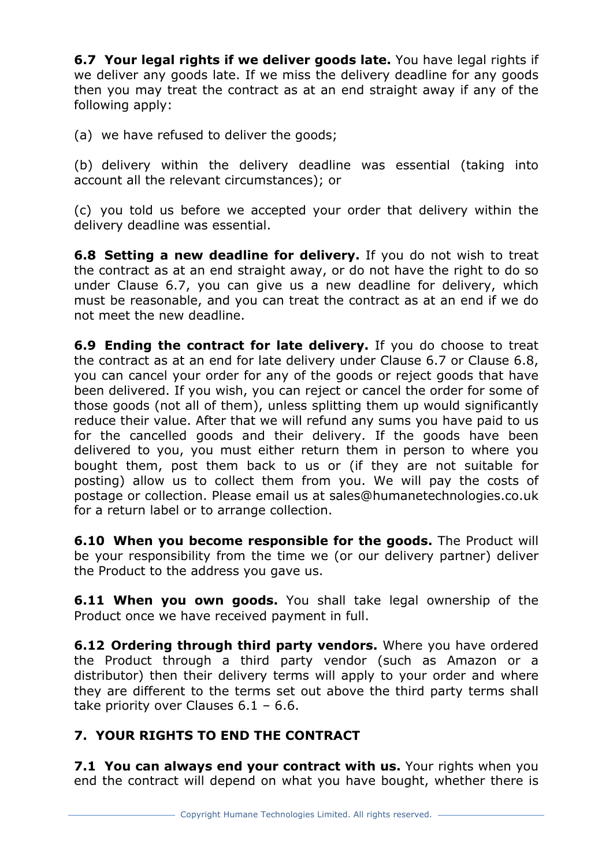**6.7 Your legal rights if we deliver goods late.** You have legal rights if we deliver any goods late. If we miss the delivery deadline for any goods then you may treat the contract as at an end straight away if any of the following apply:

(a) we have refused to deliver the goods;

(b) delivery within the delivery deadline was essential (taking into account all the relevant circumstances); or

(c) you told us before we accepted your order that delivery within the delivery deadline was essential.

**6.8 Setting a new deadline for delivery.** If you do not wish to treat the contract as at an end straight away, or do not have the right to do so under Clause 6.7, you can give us a new deadline for delivery, which must be reasonable, and you can treat the contract as at an end if we do not meet the new deadline.

**6.9 Ending the contract for late delivery.** If you do choose to treat the contract as at an end for late delivery under Clause 6.7 or Clause 6.8, you can cancel your order for any of the goods or reject goods that have been delivered. If you wish, you can reject or cancel the order for some of those goods (not all of them), unless splitting them up would significantly reduce their value. After that we will refund any sums you have paid to us for the cancelled goods and their delivery. If the goods have been delivered to you, you must either return them in person to where you bought them, post them back to us or (if they are not suitable for posting) allow us to collect them from you. We will pay the costs of postage or collection. Please email us at sales@humanetechnologies.co.uk for a return label or to arrange collection.

**6.10 When you become responsible for the goods.** The Product will be your responsibility from the time we (or our delivery partner) deliver the Product to the address you gave us.

**6.11 When you own goods.** You shall take legal ownership of the Product once we have received payment in full.

**6.12 Ordering through third party vendors.** Where you have ordered the Product through a third party vendor (such as Amazon or a distributor) then their delivery terms will apply to your order and where they are different to the terms set out above the third party terms shall take priority over Clauses  $6.1 - 6.6$ .

# **7. YOUR RIGHTS TO END THE CONTRACT**

**7.1 You can always end your contract with us.** Your rights when you end the contract will depend on what you have bought, whether there is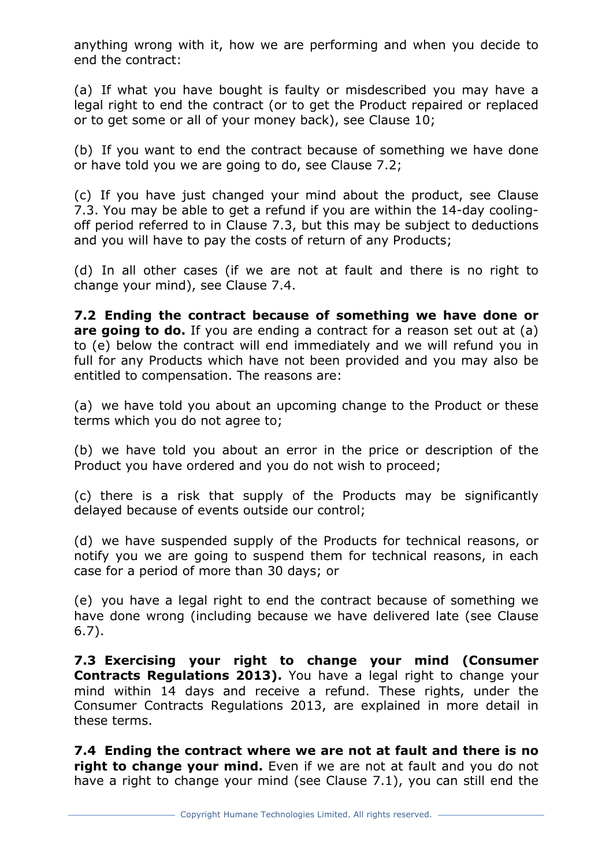anything wrong with it, how we are performing and when you decide to end the contract:

(a) If what you have bought is faulty or misdescribed you may have a legal right to end the contract (or to get the Product repaired or replaced or to get some or all of your money back), see Clause 10;

(b) If you want to end the contract because of something we have done or have told you we are going to do, see Clause 7.2;

(c) If you have just changed your mind about the product, see Clause 7.3. You may be able to get a refund if you are within the 14-day coolingoff period referred to in Clause 7.3, but this may be subject to deductions and you will have to pay the costs of return of any Products;

(d) In all other cases (if we are not at fault and there is no right to change your mind), see Clause 7.4.

**7.2 Ending the contract because of something we have done or are going to do.** If you are ending a contract for a reason set out at (a) to (e) below the contract will end immediately and we will refund you in full for any Products which have not been provided and you may also be entitled to compensation. The reasons are:

(a) we have told you about an upcoming change to the Product or these terms which you do not agree to;

(b) we have told you about an error in the price or description of the Product you have ordered and you do not wish to proceed;

(c) there is a risk that supply of the Products may be significantly delayed because of events outside our control;

(d) we have suspended supply of the Products for technical reasons, or notify you we are going to suspend them for technical reasons, in each case for a period of more than 30 days; or

(e) you have a legal right to end the contract because of something we have done wrong (including because we have delivered late (see Clause 6.7).

**7.3 Exercising your right to change your mind (Consumer Contracts Regulations 2013).** You have a legal right to change your mind within 14 days and receive a refund. These rights, under the Consumer Contracts Regulations 2013, are explained in more detail in these terms.

**7.4 Ending the contract where we are not at fault and there is no right to change your mind.** Even if we are not at fault and you do not have a right to change your mind (see Clause 7.1), you can still end the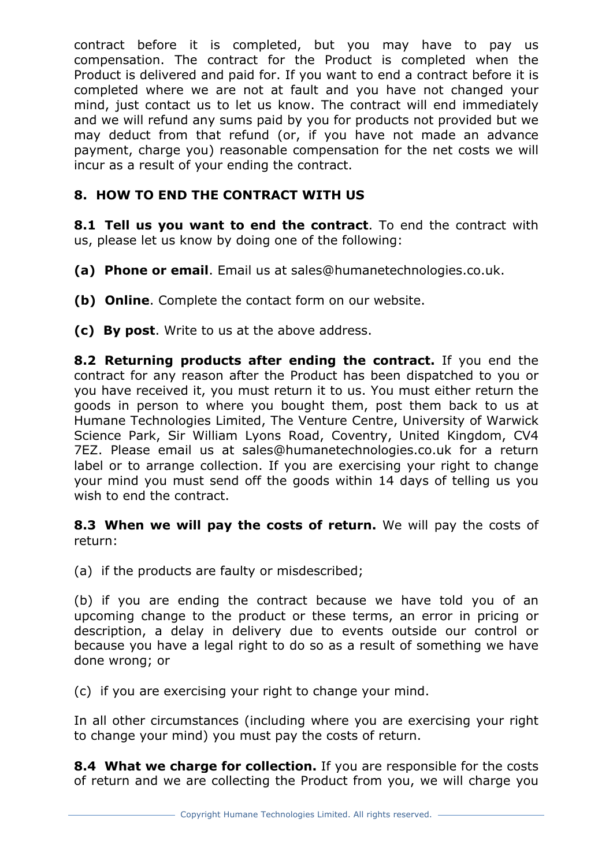contract before it is completed, but you may have to pay us compensation. The contract for the Product is completed when the Product is delivered and paid for. If you want to end a contract before it is completed where we are not at fault and you have not changed your mind, just contact us to let us know. The contract will end immediately and we will refund any sums paid by you for products not provided but we may deduct from that refund (or, if you have not made an advance payment, charge you) reasonable compensation for the net costs we will incur as a result of your ending the contract.

# **8. HOW TO END THE CONTRACT WITH US**

**8.1 Tell us you want to end the contract**. To end the contract with us, please let us know by doing one of the following:

- **(a) Phone or email**. Email us at sales@humanetechnologies.co.uk.
- **(b) Online**. Complete the contact form on our website.
- **(c) By post**. Write to us at the above address.

**8.2 Returning products after ending the contract.** If you end the contract for any reason after the Product has been dispatched to you or you have received it, you must return it to us. You must either return the goods in person to where you bought them, post them back to us at Humane Technologies Limited, The Venture Centre, University of Warwick Science Park, Sir William Lyons Road, Coventry, United Kingdom, CV4 7EZ. Please email us at sales@humanetechnologies.co.uk for a return label or to arrange collection. If you are exercising your right to change your mind you must send off the goods within 14 days of telling us you wish to end the contract.

**8.3 When we will pay the costs of return.** We will pay the costs of return:

(a) if the products are faulty or misdescribed;

(b) if you are ending the contract because we have told you of an upcoming change to the product or these terms, an error in pricing or description, a delay in delivery due to events outside our control or because you have a legal right to do so as a result of something we have done wrong; or

(c) if you are exercising your right to change your mind.

In all other circumstances (including where you are exercising your right to change your mind) you must pay the costs of return.

**8.4 What we charge for collection.** If you are responsible for the costs of return and we are collecting the Product from you, we will charge you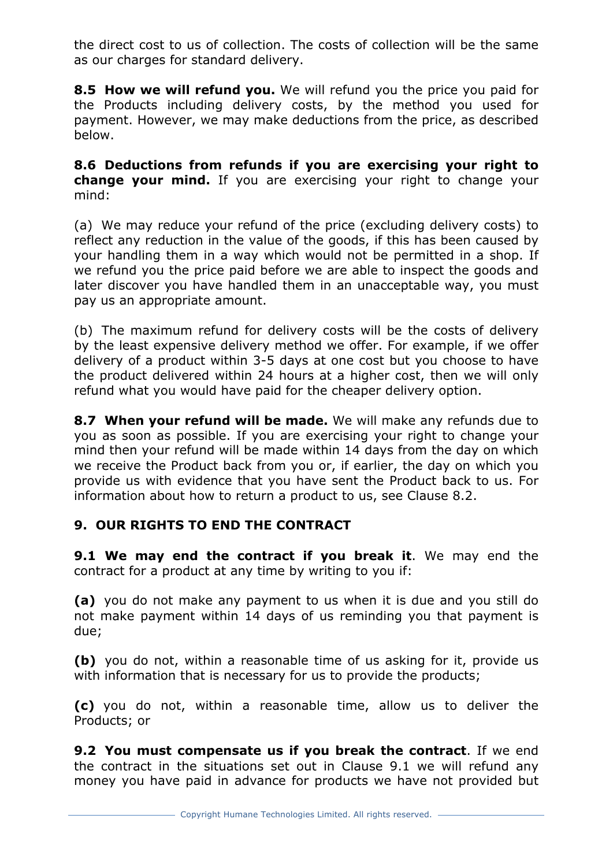the direct cost to us of collection. The costs of collection will be the same as our charges for standard delivery.

**8.5 How we will refund you.** We will refund you the price you paid for the Products including delivery costs, by the method you used for payment. However, we may make deductions from the price, as described below.

**8.6 Deductions from refunds if you are exercising your right to change your mind.** If you are exercising your right to change your mind:

(a) We may reduce your refund of the price (excluding delivery costs) to reflect any reduction in the value of the goods, if this has been caused by your handling them in a way which would not be permitted in a shop. If we refund you the price paid before we are able to inspect the goods and later discover you have handled them in an unacceptable way, you must pay us an appropriate amount.

(b) The maximum refund for delivery costs will be the costs of delivery by the least expensive delivery method we offer. For example, if we offer delivery of a product within 3-5 days at one cost but you choose to have the product delivered within 24 hours at a higher cost, then we will only refund what you would have paid for the cheaper delivery option.

**8.7 When your refund will be made.** We will make any refunds due to you as soon as possible. If you are exercising your right to change your mind then your refund will be made within 14 days from the day on which we receive the Product back from you or, if earlier, the day on which you provide us with evidence that you have sent the Product back to us. For information about how to return a product to us, see Clause 8.2.

## **9. OUR RIGHTS TO END THE CONTRACT**

**9.1 We may end the contract if you break it**. We may end the contract for a product at any time by writing to you if:

**(a)** you do not make any payment to us when it is due and you still do not make payment within 14 days of us reminding you that payment is due;

**(b)** you do not, within a reasonable time of us asking for it, provide us with information that is necessary for us to provide the products;

**(c)** you do not, within a reasonable time, allow us to deliver the Products; or

**9.2 You must compensate us if you break the contract**. If we end the contract in the situations set out in Clause 9.1 we will refund any money you have paid in advance for products we have not provided but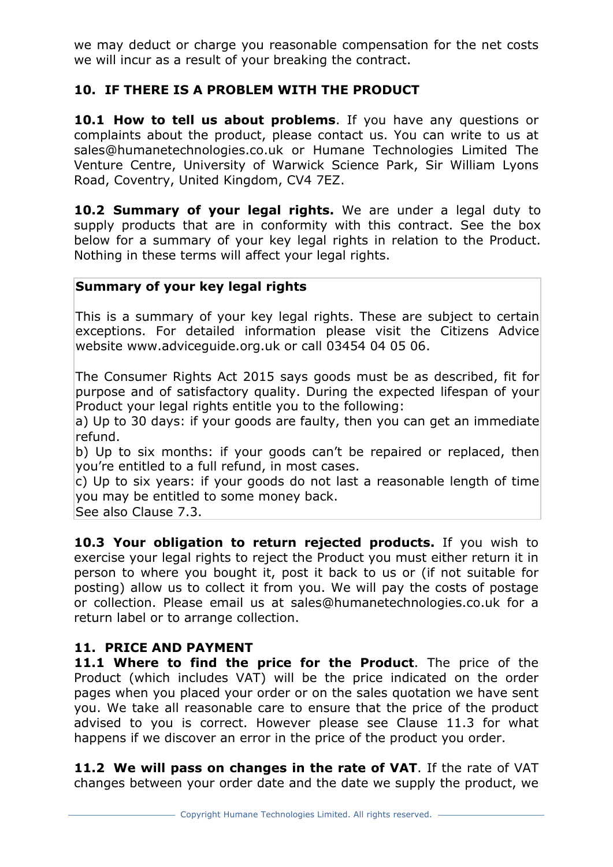we may deduct or charge you reasonable compensation for the net costs we will incur as a result of your breaking the contract.

## **10. IF THERE IS A PROBLEM WITH THE PRODUCT**

**10.1 How to tell us about problems**. If you have any questions or complaints about the product, please contact us. You can write to us at sales@humanetechnologies.co.uk or Humane Technologies Limited The Venture Centre, University of Warwick Science Park, Sir William Lyons Road, Coventry, United Kingdom, CV4 7EZ.

**10.2 Summary of your legal rights.** We are under a legal duty to supply products that are in conformity with this contract. See the box below for a summary of your key legal rights in relation to the Product. Nothing in these terms will affect your legal rights.

## **Summary of your key legal rights**

This is a summary of your key legal rights. These are subject to certain exceptions. For detailed information please visit the Citizens Advice website www.adviceguide.org.uk or call 03454 04 05 06.

The Consumer Rights Act 2015 says goods must be as described, fit for purpose and of satisfactory quality. During the expected lifespan of your Product your legal rights entitle you to the following:

a) Up to 30 days: if your goods are faulty, then you can get an immediate refund.

b) Up to six months: if your goods can't be repaired or replaced, then you're entitled to a full refund, in most cases.

c) Up to six years: if your goods do not last a reasonable length of time you may be entitled to some money back.

See also Clause 7.3.

**10.3 Your obligation to return rejected products.** If you wish to exercise your legal rights to reject the Product you must either return it in person to where you bought it, post it back to us or (if not suitable for posting) allow us to collect it from you. We will pay the costs of postage or collection. Please email us at sales@humanetechnologies.co.uk for a return label or to arrange collection.

#### **11. PRICE AND PAYMENT**

**11.1 Where to find the price for the Product**. The price of the Product (which includes VAT) will be the price indicated on the order pages when you placed your order or on the sales quotation we have sent you. We take all reasonable care to ensure that the price of the product advised to you is correct. However please see Clause 11.3 for what happens if we discover an error in the price of the product you order.

**11.2 We will pass on changes in the rate of VAT**. If the rate of VAT changes between your order date and the date we supply the product, we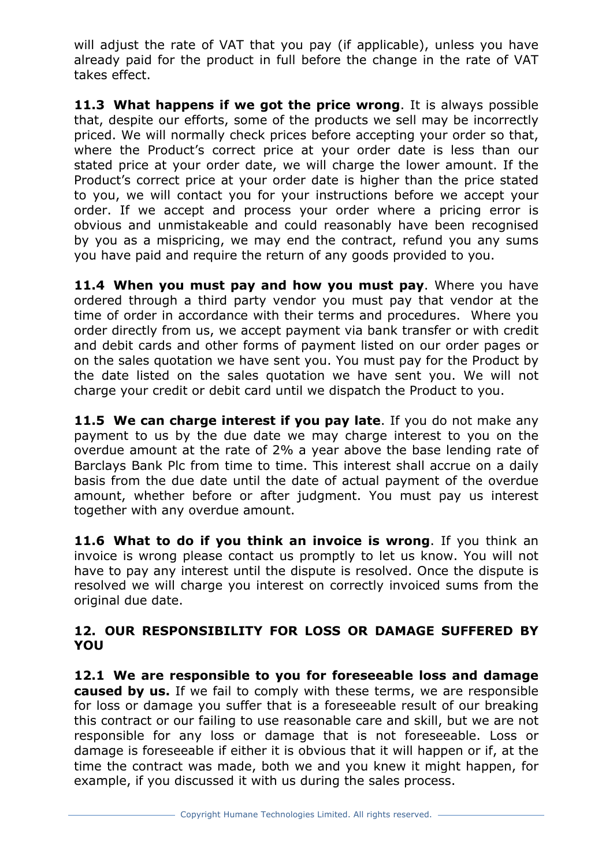will adjust the rate of VAT that you pay (if applicable), unless you have already paid for the product in full before the change in the rate of VAT takes effect.

**11.3 What happens if we got the price wrong**. It is always possible that, despite our efforts, some of the products we sell may be incorrectly priced. We will normally check prices before accepting your order so that, where the Product's correct price at your order date is less than our stated price at your order date, we will charge the lower amount. If the Product's correct price at your order date is higher than the price stated to you, we will contact you for your instructions before we accept your order. If we accept and process your order where a pricing error is obvious and unmistakeable and could reasonably have been recognised by you as a mispricing, we may end the contract, refund you any sums you have paid and require the return of any goods provided to you.

**11.4 When you must pay and how you must pay**. Where you have ordered through a third party vendor you must pay that vendor at the time of order in accordance with their terms and procedures. Where you order directly from us, we accept payment via bank transfer or with credit and debit cards and other forms of payment listed on our order pages or on the sales quotation we have sent you. You must pay for the Product by the date listed on the sales quotation we have sent you. We will not charge your credit or debit card until we dispatch the Product to you.

**11.5 We can charge interest if you pay late**. If you do not make any payment to us by the due date we may charge interest to you on the overdue amount at the rate of 2% a year above the base lending rate of Barclays Bank Plc from time to time. This interest shall accrue on a daily basis from the due date until the date of actual payment of the overdue amount, whether before or after judgment. You must pay us interest together with any overdue amount.

**11.6 What to do if you think an invoice is wrong**. If you think an invoice is wrong please contact us promptly to let us know. You will not have to pay any interest until the dispute is resolved. Once the dispute is resolved we will charge you interest on correctly invoiced sums from the original due date.

#### **12. OUR RESPONSIBILITY FOR LOSS OR DAMAGE SUFFERED BY YOU**

**12.1 We are responsible to you for foreseeable loss and damage caused by us.** If we fail to comply with these terms, we are responsible for loss or damage you suffer that is a foreseeable result of our breaking this contract or our failing to use reasonable care and skill, but we are not responsible for any loss or damage that is not foreseeable. Loss or damage is foreseeable if either it is obvious that it will happen or if, at the time the contract was made, both we and you knew it might happen, for example, if you discussed it with us during the sales process.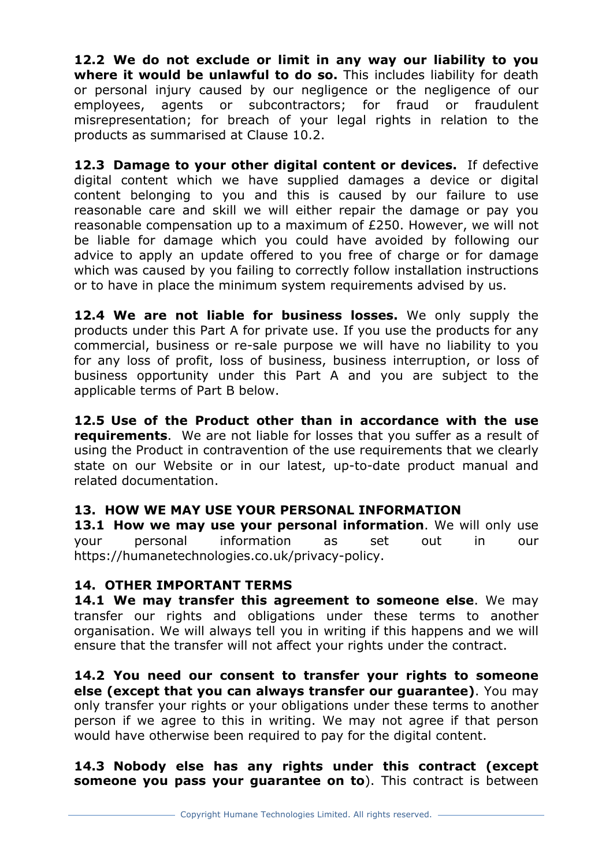**12.2 We do not exclude or limit in any way our liability to you**  where it would be unlawful to do so. This includes liability for death or personal injury caused by our negligence or the negligence of our employees, agents or subcontractors; for fraud or fraudulent misrepresentation; for breach of your legal rights in relation to the products as summarised at Clause 10.2.

**12.3 Damage to your other digital content or devices.** If defective digital content which we have supplied damages a device or digital content belonging to you and this is caused by our failure to use reasonable care and skill we will either repair the damage or pay you reasonable compensation up to a maximum of £250. However, we will not be liable for damage which you could have avoided by following our advice to apply an update offered to you free of charge or for damage which was caused by you failing to correctly follow installation instructions or to have in place the minimum system requirements advised by us.

**12.4 We are not liable for business losses.** We only supply the products under this Part A for private use. If you use the products for any commercial, business or re-sale purpose we will have no liability to you for any loss of profit, loss of business, business interruption, or loss of business opportunity under this Part A and you are subject to the applicable terms of Part B below.

**12.5 Use of the Product other than in accordance with the use requirements**. We are not liable for losses that you suffer as a result of using the Product in contravention of the use requirements that we clearly state on our Website or in our latest, up-to-date product manual and related documentation.

## **13. HOW WE MAY USE YOUR PERSONAL INFORMATION**

**13.1 How we may use your personal information**. We will only use your personal information as set out in our https://humanetechnologies.co.uk/privacy-policy.

#### **14. OTHER IMPORTANT TERMS**

**14.1 We may transfer this agreement to someone else**. We may transfer our rights and obligations under these terms to another organisation. We will always tell you in writing if this happens and we will ensure that the transfer will not affect your rights under the contract.

**14.2 You need our consent to transfer your rights to someone else (except that you can always transfer our guarantee)**. You may only transfer your rights or your obligations under these terms to another person if we agree to this in writing. We may not agree if that person would have otherwise been required to pay for the digital content.

**14.3 Nobody else has any rights under this contract (except someone you pass your guarantee on to**). This contract is between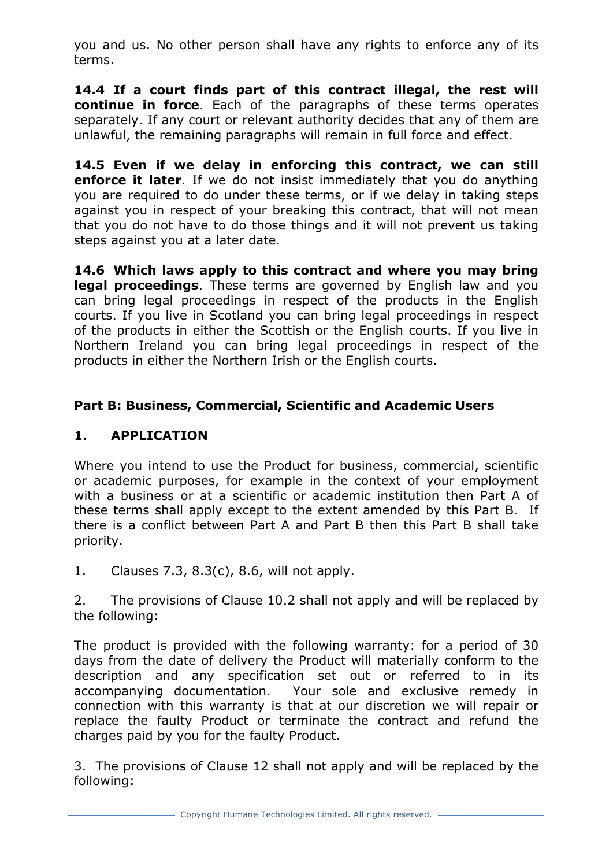you and us. No other person shall have any rights to enforce any of its terms.

**14.4 If a court finds part of this contract illegal, the rest will continue in force**. Each of the paragraphs of these terms operates separately. If any court or relevant authority decides that any of them are unlawful, the remaining paragraphs will remain in full force and effect.

**14.5 Even if we delay in enforcing this contract, we can still enforce it later**. If we do not insist immediately that you do anything you are required to do under these terms, or if we delay in taking steps against you in respect of your breaking this contract, that will not mean that you do not have to do those things and it will not prevent us taking steps against you at a later date.

**14.6 Which laws apply to this contract and where you may bring legal proceedings**. These terms are governed by English law and you can bring legal proceedings in respect of the products in the English courts. If you live in Scotland you can bring legal proceedings in respect of the products in either the Scottish or the English courts. If you live in Northern Ireland you can bring legal proceedings in respect of the products in either the Northern Irish or the English courts.

## **Part B: Business, Commercial, Scientific and Academic Users**

## **1. APPLICATION**

Where you intend to use the Product for business, commercial, scientific or academic purposes, for example in the context of your employment with a business or at a scientific or academic institution then Part A of these terms shall apply except to the extent amended by this Part B. If there is a conflict between Part A and Part B then this Part B shall take priority.

1. Clauses 7.3, 8.3(c), 8.6, will not apply.

2. The provisions of Clause 10.2 shall not apply and will be replaced by the following:

The product is provided with the following warranty: for a period of 30 days from the date of delivery the Product will materially conform to the description and any specification set out or referred to in its accompanying documentation. Your sole and exclusive remedy in connection with this warranty is that at our discretion we will repair or replace the faulty Product or terminate the contract and refund the charges paid by you for the faulty Product.

3. The provisions of Clause 12 shall not apply and will be replaced by the following: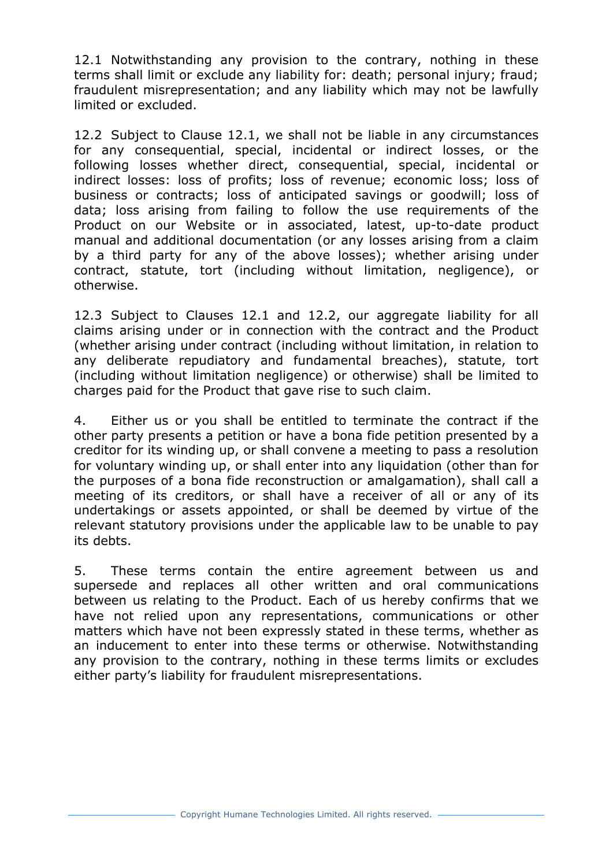12.1 Notwithstanding any provision to the contrary, nothing in these terms shall limit or exclude any liability for: death; personal injury; fraud; fraudulent misrepresentation; and any liability which may not be lawfully limited or excluded.

12.2 Subject to Clause 12.1, we shall not be liable in any circumstances for any consequential, special, incidental or indirect losses, or the following losses whether direct, consequential, special, incidental or indirect losses: loss of profits; loss of revenue; economic loss; loss of business or contracts; loss of anticipated savings or goodwill; loss of data; loss arising from failing to follow the use requirements of the Product on our Website or in associated, latest, up-to-date product manual and additional documentation (or any losses arising from a claim by a third party for any of the above losses); whether arising under contract, statute, tort (including without limitation, negligence), or otherwise.

12.3 Subject to Clauses 12.1 and 12.2, our aggregate liability for all claims arising under or in connection with the contract and the Product (whether arising under contract (including without limitation, in relation to any deliberate repudiatory and fundamental breaches), statute, tort (including without limitation negligence) or otherwise) shall be limited to charges paid for the Product that gave rise to such claim.

4. Either us or you shall be entitled to terminate the contract if the other party presents a petition or have a bona fide petition presented by a creditor for its winding up, or shall convene a meeting to pass a resolution for voluntary winding up, or shall enter into any liquidation (other than for the purposes of a bona fide reconstruction or amalgamation), shall call a meeting of its creditors, or shall have a receiver of all or any of its undertakings or assets appointed, or shall be deemed by virtue of the relevant statutory provisions under the applicable law to be unable to pay its debts.

5. These terms contain the entire agreement between us and supersede and replaces all other written and oral communications between us relating to the Product. Each of us hereby confirms that we have not relied upon any representations, communications or other matters which have not been expressly stated in these terms, whether as an inducement to enter into these terms or otherwise. Notwithstanding any provision to the contrary, nothing in these terms limits or excludes either party's liability for fraudulent misrepresentations.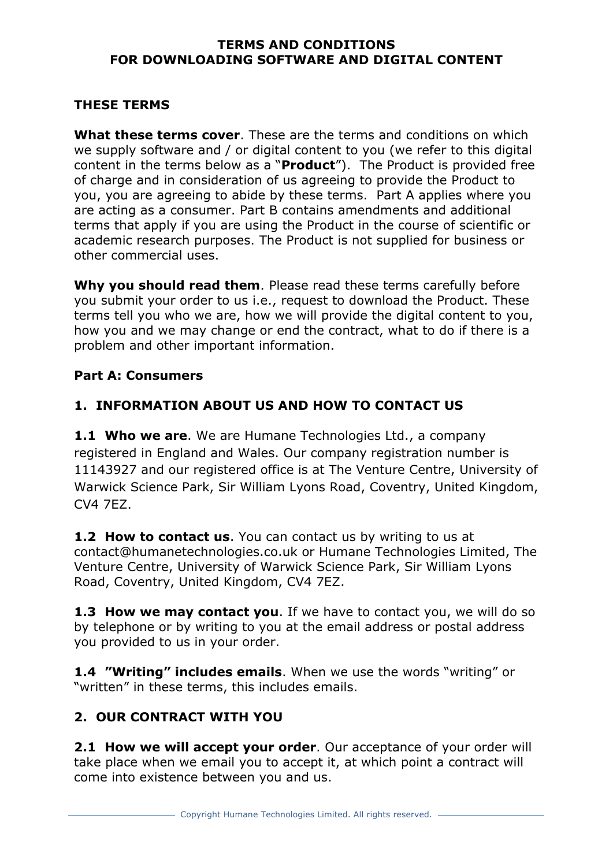#### **TERMS AND CONDITIONS FOR DOWNLOADING SOFTWARE AND DIGITAL CONTENT**

## **THESE TERMS**

**What these terms cover**. These are the terms and conditions on which we supply software and / or digital content to you (we refer to this digital content in the terms below as a "**Product**"). The Product is provided free of charge and in consideration of us agreeing to provide the Product to you, you are agreeing to abide by these terms. Part A applies where you are acting as a consumer. Part B contains amendments and additional terms that apply if you are using the Product in the course of scientific or academic research purposes. The Product is not supplied for business or other commercial uses.

**Why you should read them**. Please read these terms carefully before you submit your order to us i.e., request to download the Product. These terms tell you who we are, how we will provide the digital content to you, how you and we may change or end the contract, what to do if there is a problem and other important information.

#### **Part A: Consumers**

## **1. INFORMATION ABOUT US AND HOW TO CONTACT US**

**1.1 Who we are**. We are Humane Technologies Ltd., a company registered in England and Wales. Our company registration number is 11143927 and our registered office is at The Venture Centre, University of Warwick Science Park, Sir William Lyons Road, Coventry, United Kingdom, CV4 7EZ.

**1.2 How to contact us**. You can contact us by writing to us at contact@humanetechnologies.co.uk or Humane Technologies Limited, The Venture Centre, University of Warwick Science Park, Sir William Lyons Road, Coventry, United Kingdom, CV4 7EZ.

**1.3 How we may contact you**. If we have to contact you, we will do so by telephone or by writing to you at the email address or postal address you provided to us in your order.

**1.4 "Writing" includes emails**. When we use the words "writing" or "written" in these terms, this includes emails.

# **2. OUR CONTRACT WITH YOU**

**2.1 How we will accept your order**. Our acceptance of your order will take place when we email you to accept it, at which point a contract will come into existence between you and us.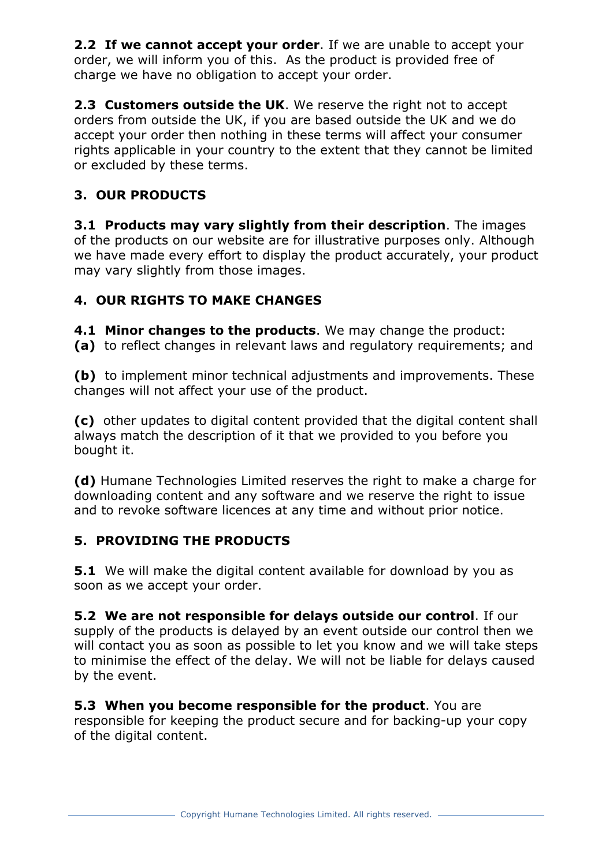**2.2 If we cannot accept your order**. If we are unable to accept your order, we will inform you of this. As the product is provided free of charge we have no obligation to accept your order.

**2.3 Customers outside the UK**. We reserve the right not to accept orders from outside the UK, if you are based outside the UK and we do accept your order then nothing in these terms will affect your consumer rights applicable in your country to the extent that they cannot be limited or excluded by these terms.

# **3. OUR PRODUCTS**

**3.1 Products may vary slightly from their description**. The images of the products on our website are for illustrative purposes only. Although we have made every effort to display the product accurately, your product may vary slightly from those images.

# **4. OUR RIGHTS TO MAKE CHANGES**

**4.1 Minor changes to the products**. We may change the product: **(a)** to reflect changes in relevant laws and regulatory requirements; and

**(b)** to implement minor technical adjustments and improvements. These changes will not affect your use of the product.

**(c)** other updates to digital content provided that the digital content shall always match the description of it that we provided to you before you bought it.

**(d)** Humane Technologies Limited reserves the right to make a charge for downloading content and any software and we reserve the right to issue and to revoke software licences at any time and without prior notice.

## **5. PROVIDING THE PRODUCTS**

**5.1** We will make the digital content available for download by you as soon as we accept your order.

**5.2 We are not responsible for delays outside our control**. If our supply of the products is delayed by an event outside our control then we will contact you as soon as possible to let you know and we will take steps to minimise the effect of the delay. We will not be liable for delays caused by the event.

**5.3 When you become responsible for the product**. You are responsible for keeping the product secure and for backing-up your copy of the digital content.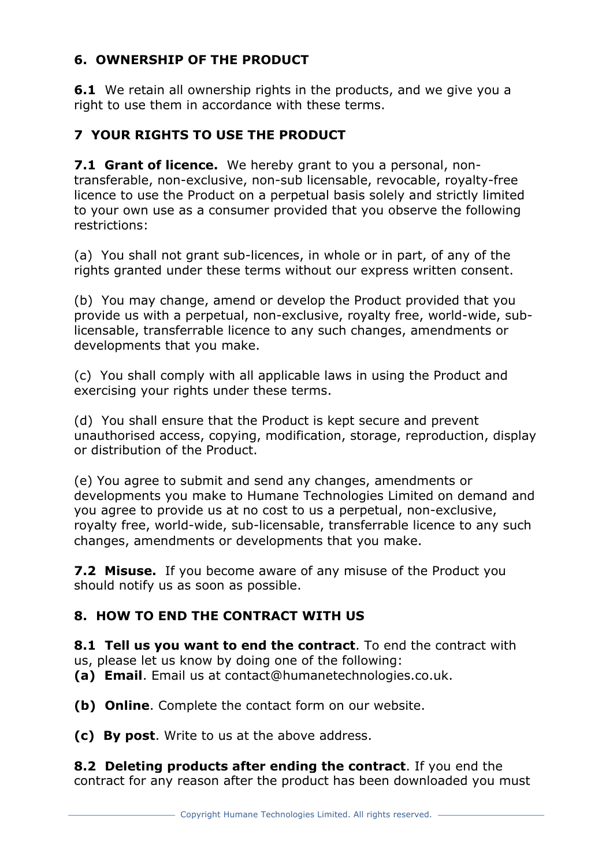# **6. OWNERSHIP OF THE PRODUCT**

**6.1** We retain all ownership rights in the products, and we give you a right to use them in accordance with these terms.

# **7 YOUR RIGHTS TO USE THE PRODUCT**

**7.1 Grant of licence.** We hereby grant to you a personal, nontransferable, non-exclusive, non-sub licensable, revocable, royalty-free licence to use the Product on a perpetual basis solely and strictly limited to your own use as a consumer provided that you observe the following restrictions:

(a) You shall not grant sub-licences, in whole or in part, of any of the rights granted under these terms without our express written consent.

(b) You may change, amend or develop the Product provided that you provide us with a perpetual, non-exclusive, royalty free, world-wide, sublicensable, transferrable licence to any such changes, amendments or developments that you make.

(c) You shall comply with all applicable laws in using the Product and exercising your rights under these terms.

(d) You shall ensure that the Product is kept secure and prevent unauthorised access, copying, modification, storage, reproduction, display or distribution of the Product.

(e) You agree to submit and send any changes, amendments or developments you make to Humane Technologies Limited on demand and you agree to provide us at no cost to us a perpetual, non-exclusive, royalty free, world-wide, sub-licensable, transferrable licence to any such changes, amendments or developments that you make.

**7.2 Misuse.** If you become aware of any misuse of the Product you should notify us as soon as possible.

## **8. HOW TO END THE CONTRACT WITH US**

**8.1 Tell us you want to end the contract**. To end the contract with us, please let us know by doing one of the following:

**(a) Email**. Email us at contact@humanetechnologies.co.uk.

**(b) Online**. Complete the contact form on our website.

**(c) By post**. Write to us at the above address.

**8.2 Deleting products after ending the contract**. If you end the contract for any reason after the product has been downloaded you must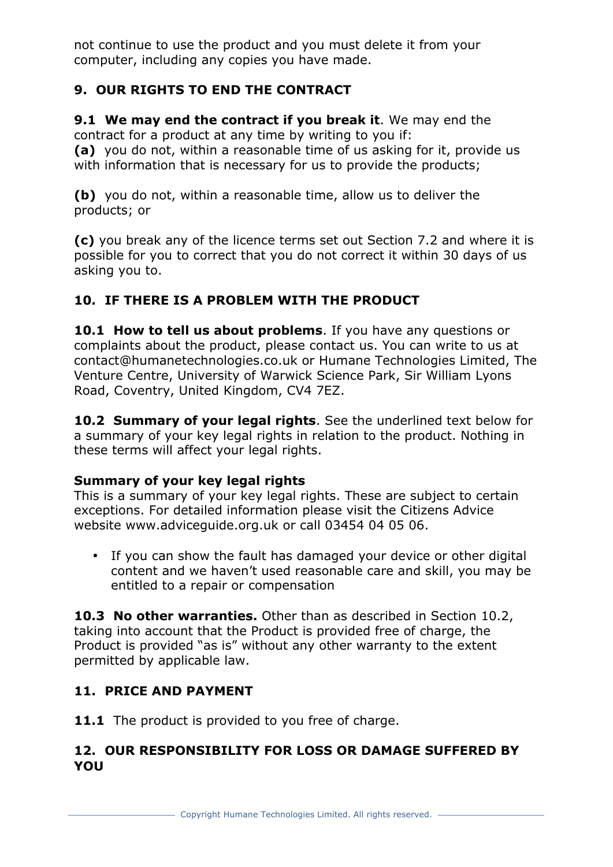not continue to use the product and you must delete it from your computer, including any copies you have made.

# **9. OUR RIGHTS TO END THE CONTRACT**

**9.1 We may end the contract if you break it**. We may end the contract for a product at any time by writing to you if: **(a)** you do not, within a reasonable time of us asking for it, provide us with information that is necessary for us to provide the products;

**(b)** you do not, within a reasonable time, allow us to deliver the products; or

**(c)** you break any of the licence terms set out Section 7.2 and where it is possible for you to correct that you do not correct it within 30 days of us asking you to.

# **10. IF THERE IS A PROBLEM WITH THE PRODUCT**

**10.1 How to tell us about problems**. If you have any questions or complaints about the product, please contact us. You can write to us at contact@humanetechnologies.co.uk or Humane Technologies Limited, The Venture Centre, University of Warwick Science Park, Sir William Lyons Road, Coventry, United Kingdom, CV4 7EZ.

**10.2 Summary of your legal rights**. See the underlined text below for a summary of your key legal rights in relation to the product. Nothing in these terms will affect your legal rights.

# **Summary of your key legal rights**

This is a summary of your key legal rights. These are subject to certain exceptions. For detailed information please visit the Citizens Advice website www.adviceguide.org.uk or call 03454 04 05 06.

• If you can show the fault has damaged your device or other digital content and we haven't used reasonable care and skill, you may be entitled to a repair or compensation

**10.3 No other warranties.** Other than as described in Section 10.2, taking into account that the Product is provided free of charge, the Product is provided "as is" without any other warranty to the extent permitted by applicable law.

# **11. PRICE AND PAYMENT**

11.1 The product is provided to you free of charge.

## **12. OUR RESPONSIBILITY FOR LOSS OR DAMAGE SUFFERED BY YOU**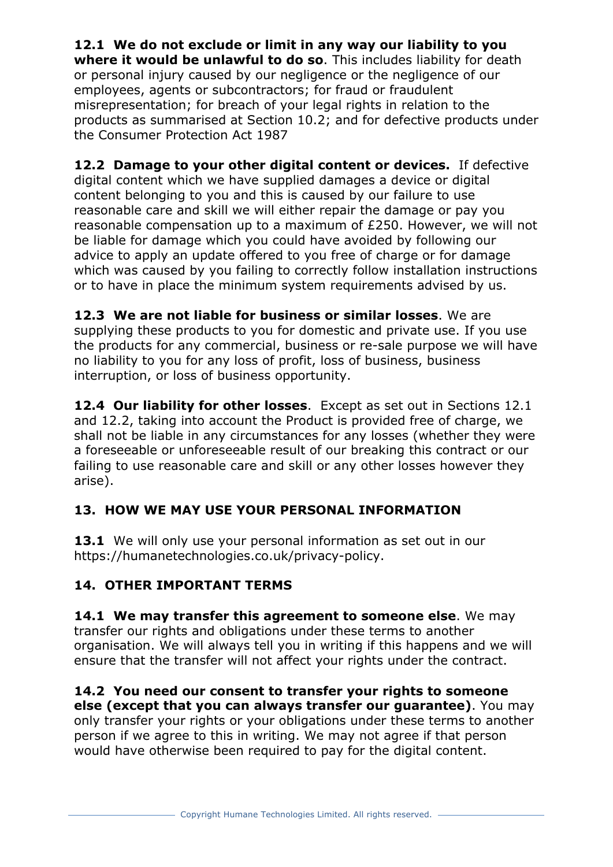**12.1 We do not exclude or limit in any way our liability to you where it would be unlawful to do so**. This includes liability for death or personal injury caused by our negligence or the negligence of our employees, agents or subcontractors; for fraud or fraudulent misrepresentation; for breach of your legal rights in relation to the products as summarised at Section 10.2; and for defective products under the Consumer Protection Act 1987

**12.2 Damage to your other digital content or devices.** If defective digital content which we have supplied damages a device or digital content belonging to you and this is caused by our failure to use reasonable care and skill we will either repair the damage or pay you reasonable compensation up to a maximum of £250. However, we will not be liable for damage which you could have avoided by following our advice to apply an update offered to you free of charge or for damage which was caused by you failing to correctly follow installation instructions or to have in place the minimum system requirements advised by us.

**12.3 We are not liable for business or similar losses**. We are supplying these products to you for domestic and private use. If you use the products for any commercial, business or re-sale purpose we will have no liability to you for any loss of profit, loss of business, business interruption, or loss of business opportunity.

**12.4 Our liability for other losses**. Except as set out in Sections 12.1 and 12.2, taking into account the Product is provided free of charge, we shall not be liable in any circumstances for any losses (whether they were a foreseeable or unforeseeable result of our breaking this contract or our failing to use reasonable care and skill or any other losses however they arise).

# **13. HOW WE MAY USE YOUR PERSONAL INFORMATION**

**13.1** We will only use your personal information as set out in our https://humanetechnologies.co.uk/privacy-policy.

# **14. OTHER IMPORTANT TERMS**

**14.1 We may transfer this agreement to someone else**. We may transfer our rights and obligations under these terms to another organisation. We will always tell you in writing if this happens and we will ensure that the transfer will not affect your rights under the contract.

**14.2 You need our consent to transfer your rights to someone else (except that you can always transfer our guarantee)**. You may only transfer your rights or your obligations under these terms to another person if we agree to this in writing. We may not agree if that person would have otherwise been required to pay for the digital content.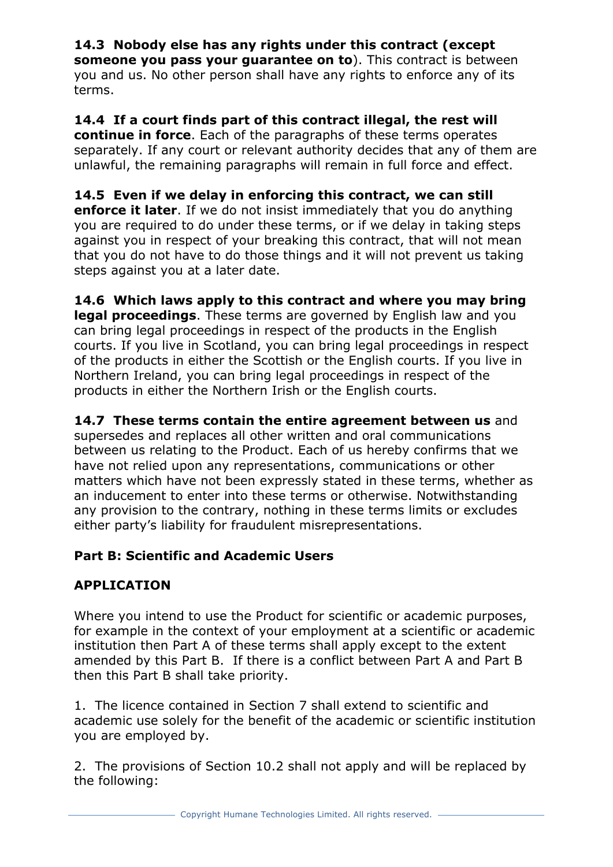# **14.3 Nobody else has any rights under this contract (except**

**someone you pass your guarantee on to**). This contract is between you and us. No other person shall have any rights to enforce any of its terms.

**14.4 If a court finds part of this contract illegal, the rest will continue in force**. Each of the paragraphs of these terms operates separately. If any court or relevant authority decides that any of them are unlawful, the remaining paragraphs will remain in full force and effect.

**14.5 Even if we delay in enforcing this contract, we can still enforce it later**. If we do not insist immediately that you do anything you are required to do under these terms, or if we delay in taking steps against you in respect of your breaking this contract, that will not mean that you do not have to do those things and it will not prevent us taking steps against you at a later date.

**14.6 Which laws apply to this contract and where you may bring legal proceedings**. These terms are governed by English law and you can bring legal proceedings in respect of the products in the English courts. If you live in Scotland, you can bring legal proceedings in respect of the products in either the Scottish or the English courts. If you live in Northern Ireland, you can bring legal proceedings in respect of the products in either the Northern Irish or the English courts.

**14.7 These terms contain the entire agreement between us** and supersedes and replaces all other written and oral communications between us relating to the Product. Each of us hereby confirms that we have not relied upon any representations, communications or other matters which have not been expressly stated in these terms, whether as an inducement to enter into these terms or otherwise. Notwithstanding any provision to the contrary, nothing in these terms limits or excludes either party's liability for fraudulent misrepresentations.

# **Part B: Scientific and Academic Users**

# **APPLICATION**

Where you intend to use the Product for scientific or academic purposes, for example in the context of your employment at a scientific or academic institution then Part A of these terms shall apply except to the extent amended by this Part B. If there is a conflict between Part A and Part B then this Part B shall take priority.

1. The licence contained in Section 7 shall extend to scientific and academic use solely for the benefit of the academic or scientific institution you are employed by.

2. The provisions of Section 10.2 shall not apply and will be replaced by the following: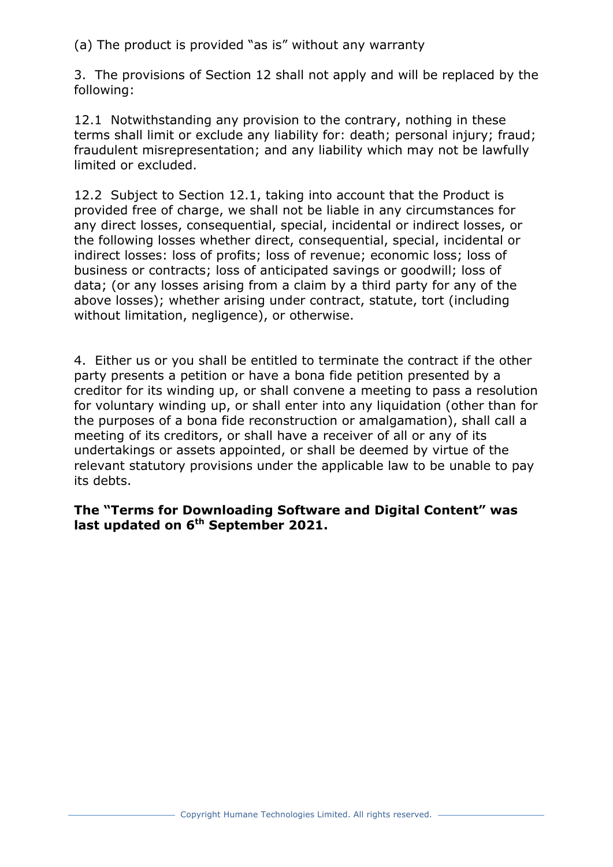(a) The product is provided "as is" without any warranty

3. The provisions of Section 12 shall not apply and will be replaced by the following:

12.1 Notwithstanding any provision to the contrary, nothing in these terms shall limit or exclude any liability for: death; personal injury; fraud; fraudulent misrepresentation; and any liability which may not be lawfully limited or excluded.

12.2 Subject to Section 12.1, taking into account that the Product is provided free of charge, we shall not be liable in any circumstances for any direct losses, consequential, special, incidental or indirect losses, or the following losses whether direct, consequential, special, incidental or indirect losses: loss of profits; loss of revenue; economic loss; loss of business or contracts; loss of anticipated savings or goodwill; loss of data; (or any losses arising from a claim by a third party for any of the above losses); whether arising under contract, statute, tort (including without limitation, negligence), or otherwise.

4. Either us or you shall be entitled to terminate the contract if the other party presents a petition or have a bona fide petition presented by a creditor for its winding up, or shall convene a meeting to pass a resolution for voluntary winding up, or shall enter into any liquidation (other than for the purposes of a bona fide reconstruction or amalgamation), shall call a meeting of its creditors, or shall have a receiver of all or any of its undertakings or assets appointed, or shall be deemed by virtue of the relevant statutory provisions under the applicable law to be unable to pay its debts.

**The "Terms for Downloading Software and Digital Content" was last updated on 6th September 2021.**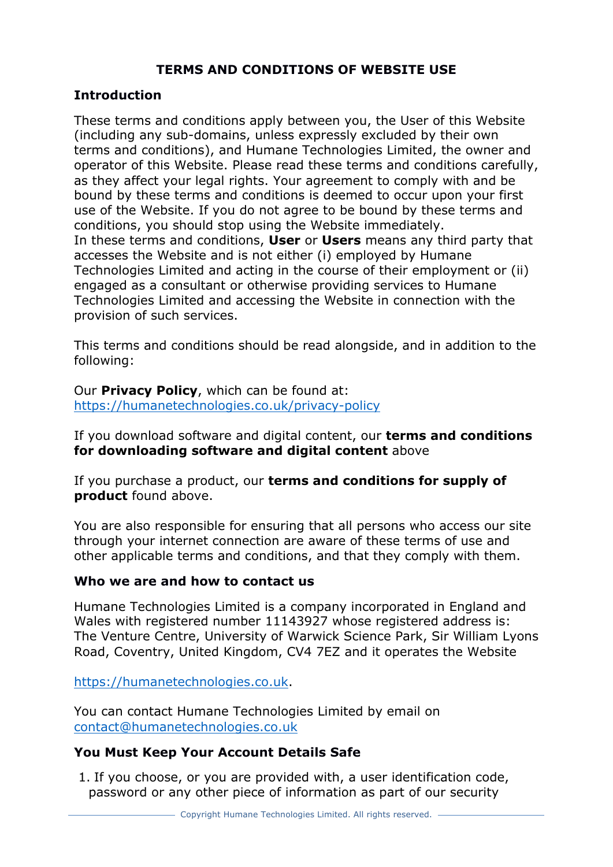## **TERMS AND CONDITIONS OF WEBSITE USE**

#### **Introduction**

These terms and conditions apply between you, the User of this Website (including any sub-domains, unless expressly excluded by their own terms and conditions), and Humane Technologies Limited, the owner and operator of this Website. Please read these terms and conditions carefully, as they affect your legal rights. Your agreement to comply with and be bound by these terms and conditions is deemed to occur upon your first use of the Website. If you do not agree to be bound by these terms and conditions, you should stop using the Website immediately. In these terms and conditions, **User** or **Users** means any third party that accesses the Website and is not either (i) employed by Humane Technologies Limited and acting in the course of their employment or (ii) engaged as a consultant or otherwise providing services to Humane Technologies Limited and accessing the Website in connection with the provision of such services.

This terms and conditions should be read alongside, and in addition to the following:

Our **Privacy Policy**, which can be found at: https://humanetechnologies.co.uk/privacy-policy

If you download software and digital content, our **terms and conditions for downloading software and digital content** above

If you purchase a product, our **terms and conditions for supply of product** found above.

You are also responsible for ensuring that all persons who access our site through your internet connection are aware of these terms of use and other applicable terms and conditions, and that they comply with them.

#### **Who we are and how to contact us**

Humane Technologies Limited is a company incorporated in England and Wales with registered number 11143927 whose registered address is: The Venture Centre, University of Warwick Science Park, Sir William Lyons Road, Coventry, United Kingdom, CV4 7EZ and it operates the Website

https://humanetechnologies.co.uk.

You can contact Humane Technologies Limited by email on contact@humanetechnologies.co.uk

#### **You Must Keep Your Account Details Safe**

1. If you choose, or you are provided with, a user identification code, password or any other piece of information as part of our security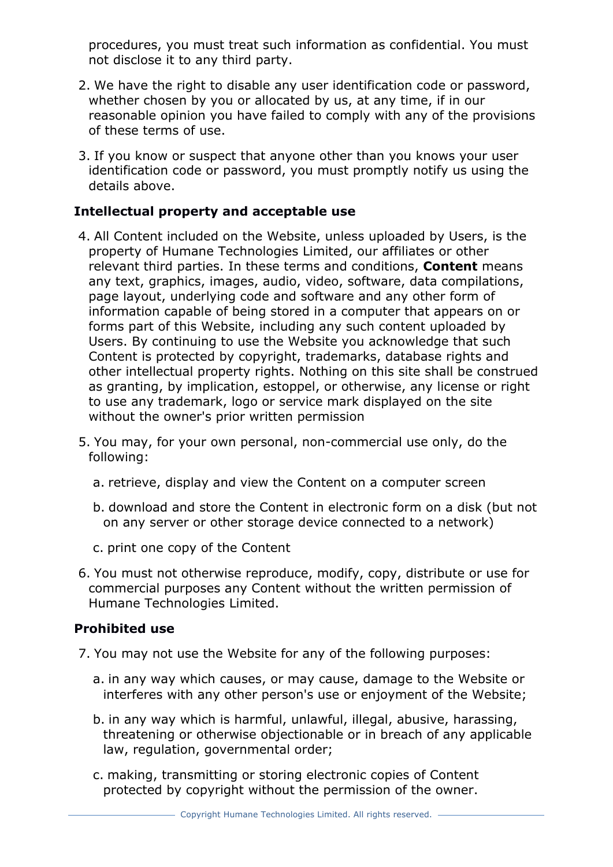procedures, you must treat such information as confidential. You must not disclose it to any third party.

- 2. We have the right to disable any user identification code or password, whether chosen by you or allocated by us, at any time, if in our reasonable opinion you have failed to comply with any of the provisions of these terms of use.
- 3. If you know or suspect that anyone other than you knows your user identification code or password, you must promptly notify us using the details above.

## **Intellectual property and acceptable use**

- 4. All Content included on the Website, unless uploaded by Users, is the property of Humane Technologies Limited, our affiliates or other relevant third parties. In these terms and conditions, **Content** means any text, graphics, images, audio, video, software, data compilations, page layout, underlying code and software and any other form of information capable of being stored in a computer that appears on or forms part of this Website, including any such content uploaded by Users. By continuing to use the Website you acknowledge that such Content is protected by copyright, trademarks, database rights and other intellectual property rights. Nothing on this site shall be construed as granting, by implication, estoppel, or otherwise, any license or right to use any trademark, logo or service mark displayed on the site without the owner's prior written permission
- 5. You may, for your own personal, non-commercial use only, do the following:
	- a. retrieve, display and view the Content on a computer screen
	- b. download and store the Content in electronic form on a disk (but not on any server or other storage device connected to a network)
	- c. print one copy of the Content
- 6. You must not otherwise reproduce, modify, copy, distribute or use for commercial purposes any Content without the written permission of Humane Technologies Limited.

#### **Prohibited use**

- 7. You may not use the Website for any of the following purposes:
	- a. in any way which causes, or may cause, damage to the Website or interferes with any other person's use or enjoyment of the Website;
	- b. in any way which is harmful, unlawful, illegal, abusive, harassing, threatening or otherwise objectionable or in breach of any applicable law, regulation, governmental order;
	- c. making, transmitting or storing electronic copies of Content protected by copyright without the permission of the owner.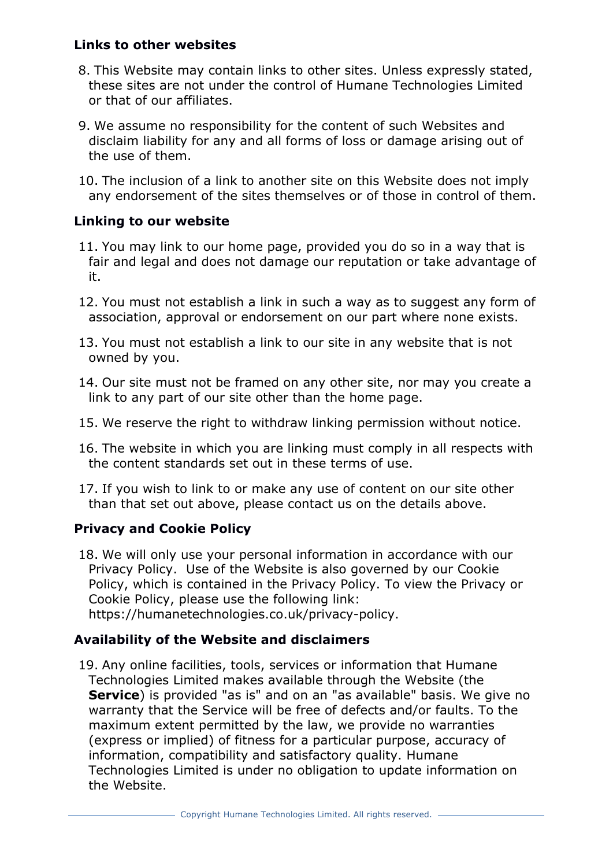### **Links to other websites**

- 8. This Website may contain links to other sites. Unless expressly stated, these sites are not under the control of Humane Technologies Limited or that of our affiliates.
- 9. We assume no responsibility for the content of such Websites and disclaim liability for any and all forms of loss or damage arising out of the use of them.
- 10. The inclusion of a link to another site on this Website does not imply any endorsement of the sites themselves or of those in control of them.

#### **Linking to our website**

- 11. You may link to our home page, provided you do so in a way that is fair and legal and does not damage our reputation or take advantage of it.
- 12. You must not establish a link in such a way as to suggest any form of association, approval or endorsement on our part where none exists.
- 13. You must not establish a link to our site in any website that is not owned by you.
- 14. Our site must not be framed on any other site, nor may you create a link to any part of our site other than the home page.
- 15. We reserve the right to withdraw linking permission without notice.
- 16. The website in which you are linking must comply in all respects with the content standards set out in these terms of use.
- 17. If you wish to link to or make any use of content on our site other than that set out above, please contact us on the details above.

## **Privacy and Cookie Policy**

18. We will only use your personal information in accordance with our Privacy Policy. Use of the Website is also governed by our Cookie Policy, which is contained in the Privacy Policy. To view the Privacy or Cookie Policy, please use the following link: https://humanetechnologies.co.uk/privacy-policy.

#### **Availability of the Website and disclaimers**

19. Any online facilities, tools, services or information that Humane Technologies Limited makes available through the Website (the **Service**) is provided "as is" and on an "as available" basis. We give no warranty that the Service will be free of defects and/or faults. To the maximum extent permitted by the law, we provide no warranties (express or implied) of fitness for a particular purpose, accuracy of information, compatibility and satisfactory quality. Humane Technologies Limited is under no obligation to update information on the Website.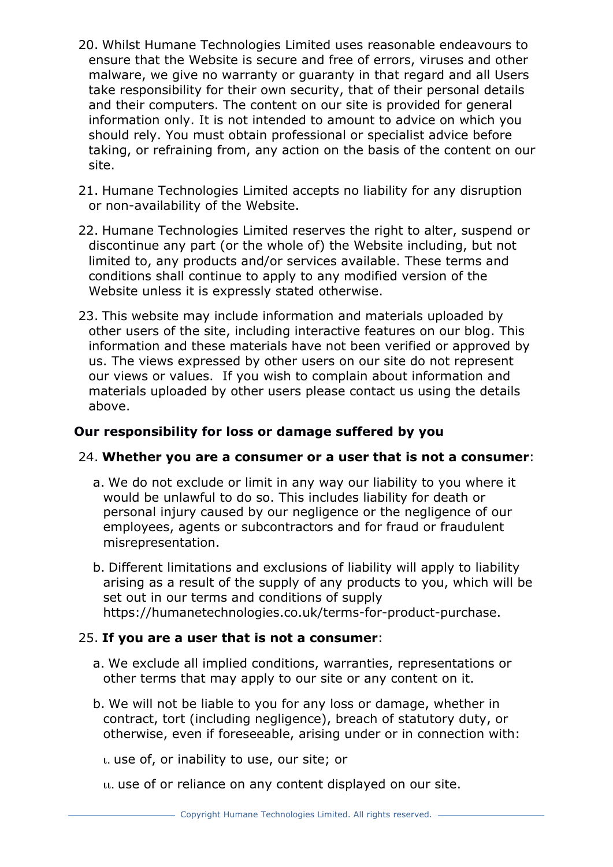- 20. Whilst Humane Technologies Limited uses reasonable endeavours to ensure that the Website is secure and free of errors, viruses and other malware, we give no warranty or guaranty in that regard and all Users take responsibility for their own security, that of their personal details and their computers. The content on our site is provided for general information only. It is not intended to amount to advice on which you should rely. You must obtain professional or specialist advice before taking, or refraining from, any action on the basis of the content on our site.
- 21. Humane Technologies Limited accepts no liability for any disruption or non-availability of the Website.
- 22. Humane Technologies Limited reserves the right to alter, suspend or discontinue any part (or the whole of) the Website including, but not limited to, any products and/or services available. These terms and conditions shall continue to apply to any modified version of the Website unless it is expressly stated otherwise.
- 23. This website may include information and materials uploaded by other users of the site, including interactive features on our blog. This information and these materials have not been verified or approved by us. The views expressed by other users on our site do not represent our views or values. If you wish to complain about information and materials uploaded by other users please contact us using the details above.

## **Our responsibility for loss or damage suffered by you**

#### 24. **Whether you are a consumer or a user that is not a consumer**:

- a. We do not exclude or limit in any way our liability to you where it would be unlawful to do so. This includes liability for death or personal injury caused by our negligence or the negligence of our employees, agents or subcontractors and for fraud or fraudulent misrepresentation.
- b. Different limitations and exclusions of liability will apply to liability arising as a result of the supply of any products to you, which will be set out in our terms and conditions of supply https://humanetechnologies.co.uk/terms-for-product-purchase.

#### 25. **If you are a user that is not a consumer**:

- a. We exclude all implied conditions, warranties, representations or other terms that may apply to our site or any content on it.
- b. We will not be liable to you for any loss or damage, whether in contract, tort (including negligence), breach of statutory duty, or otherwise, even if foreseeable, arising under or in connection with:

ι. use of, or inability to use, our site; or

ιι. use of or reliance on any content displayed on our site.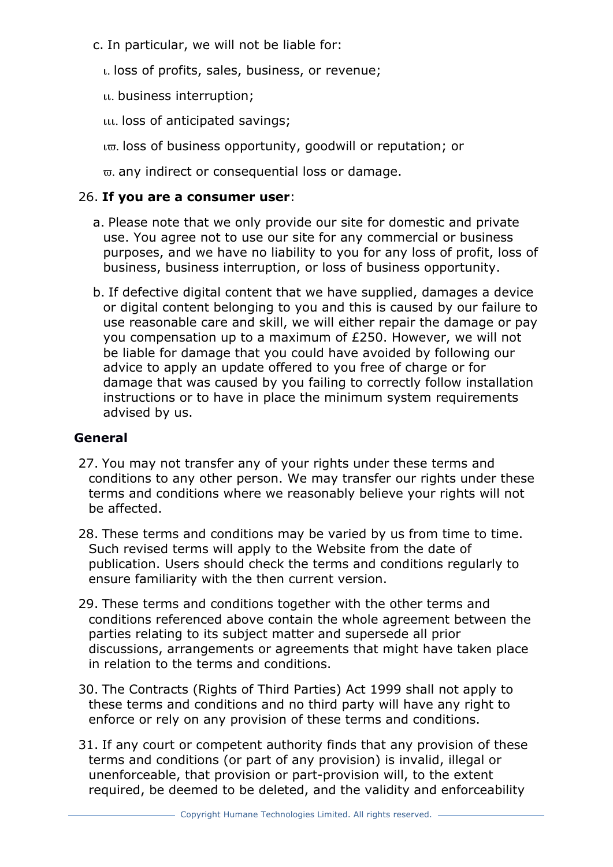- c. In particular, we will not be liable for:
	- ι. loss of profits, sales, business, or revenue;
	- ιι. business interruption;
	- ιιι. loss of anticipated savings;
	- ιϖ. loss of business opportunity, goodwill or reputation; or
	- ϖ. any indirect or consequential loss or damage.

#### 26. **If you are a consumer user**:

- a. Please note that we only provide our site for domestic and private use. You agree not to use our site for any commercial or business purposes, and we have no liability to you for any loss of profit, loss of business, business interruption, or loss of business opportunity.
- b. If defective digital content that we have supplied, damages a device or digital content belonging to you and this is caused by our failure to use reasonable care and skill, we will either repair the damage or pay you compensation up to a maximum of £250. However, we will not be liable for damage that you could have avoided by following our advice to apply an update offered to you free of charge or for damage that was caused by you failing to correctly follow installation instructions or to have in place the minimum system requirements advised by us.

#### **General**

- 27. You may not transfer any of your rights under these terms and conditions to any other person. We may transfer our rights under these terms and conditions where we reasonably believe your rights will not be affected.
- 28. These terms and conditions may be varied by us from time to time. Such revised terms will apply to the Website from the date of publication. Users should check the terms and conditions regularly to ensure familiarity with the then current version.
- 29. These terms and conditions together with the other terms and conditions referenced above contain the whole agreement between the parties relating to its subject matter and supersede all prior discussions, arrangements or agreements that might have taken place in relation to the terms and conditions.
- 30. The Contracts (Rights of Third Parties) Act 1999 shall not apply to these terms and conditions and no third party will have any right to enforce or rely on any provision of these terms and conditions.
- 31. If any court or competent authority finds that any provision of these terms and conditions (or part of any provision) is invalid, illegal or unenforceable, that provision or part-provision will, to the extent required, be deemed to be deleted, and the validity and enforceability